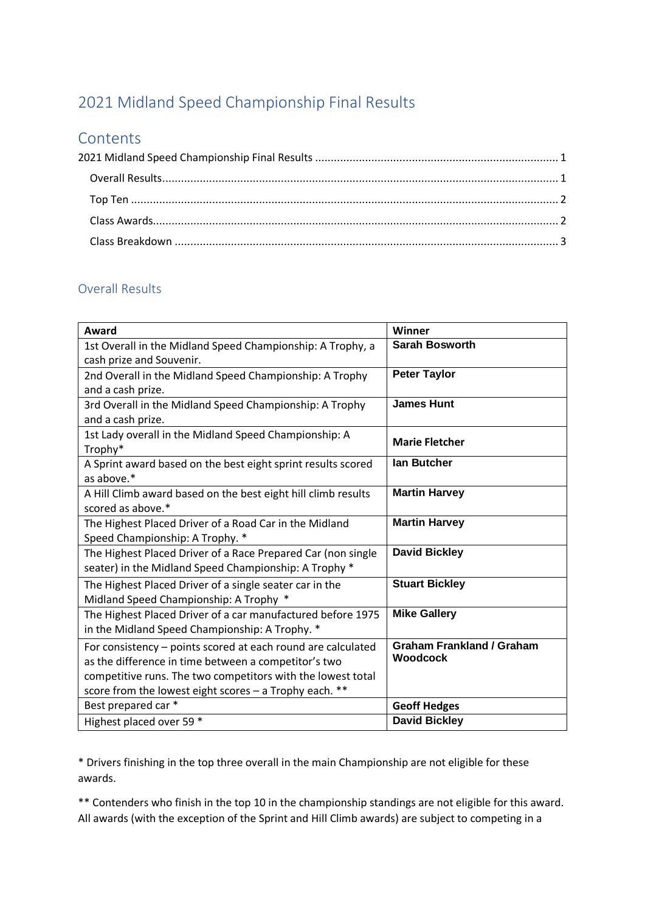# <span id="page-0-0"></span>2021 Midland Speed Championship Final Results

## **Contents**

#### <span id="page-0-1"></span>Overall Results

| Award                                                         | Winner                           |
|---------------------------------------------------------------|----------------------------------|
| 1st Overall in the Midland Speed Championship: A Trophy, a    | <b>Sarah Bosworth</b>            |
| cash prize and Souvenir.                                      |                                  |
| 2nd Overall in the Midland Speed Championship: A Trophy       | <b>Peter Taylor</b>              |
| and a cash prize.                                             |                                  |
| 3rd Overall in the Midland Speed Championship: A Trophy       | <b>James Hunt</b>                |
| and a cash prize.                                             |                                  |
| 1st Lady overall in the Midland Speed Championship: A         | <b>Marie Fletcher</b>            |
| Trophy*                                                       |                                  |
| A Sprint award based on the best eight sprint results scored  | <b>lan Butcher</b>               |
| as above.*                                                    |                                  |
| A Hill Climb award based on the best eight hill climb results | <b>Martin Harvey</b>             |
| scored as above.*                                             |                                  |
| The Highest Placed Driver of a Road Car in the Midland        | <b>Martin Harvey</b>             |
| Speed Championship: A Trophy. *                               |                                  |
| The Highest Placed Driver of a Race Prepared Car (non single  | <b>David Bickley</b>             |
| seater) in the Midland Speed Championship: A Trophy *         |                                  |
| The Highest Placed Driver of a single seater car in the       | <b>Stuart Bickley</b>            |
| Midland Speed Championship: A Trophy *                        |                                  |
| The Highest Placed Driver of a car manufactured before 1975   | <b>Mike Gallery</b>              |
| in the Midland Speed Championship: A Trophy. *                |                                  |
| For consistency - points scored at each round are calculated  | <b>Graham Frankland / Graham</b> |
| as the difference in time between a competitor's two          | Woodcock                         |
| competitive runs. The two competitors with the lowest total   |                                  |
| score from the lowest eight scores - a Trophy each. **        |                                  |
| Best prepared car *                                           | <b>Geoff Hedges</b>              |
| Highest placed over 59 *                                      | <b>David Bickley</b>             |

\* Drivers finishing in the top three overall in the main Championship are not eligible for these awards.

\*\* Contenders who finish in the top 10 in the championship standings are not eligible for this award. All awards (with the exception of the Sprint and Hill Climb awards) are subject to competing in a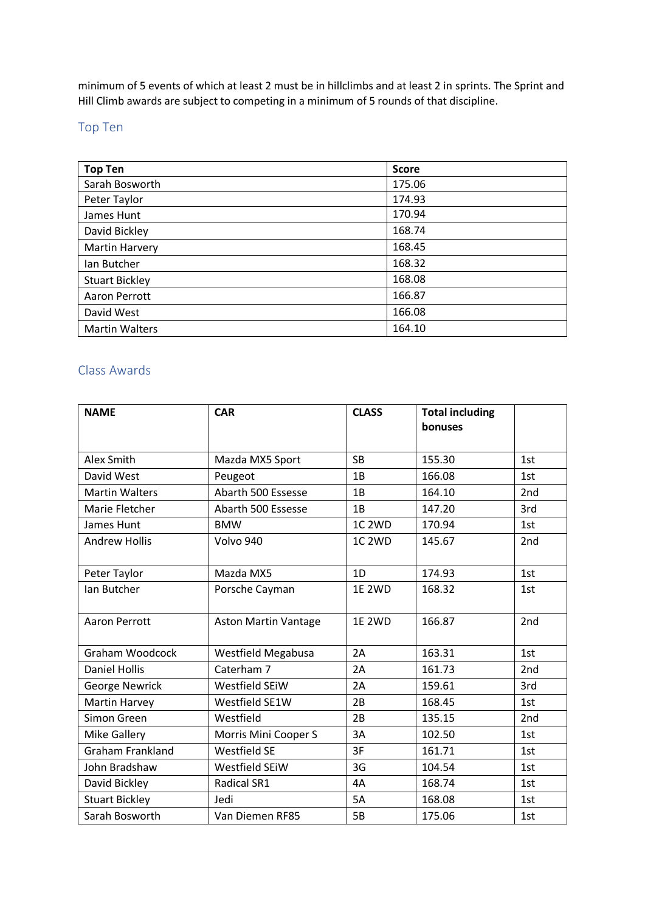minimum of 5 events of which at least 2 must be in hillclimbs and at least 2 in sprints. The Sprint and Hill Climb awards are subject to competing in a minimum of 5 rounds of that discipline.

## <span id="page-1-0"></span>Top Ten

| <b>Top Ten</b>        | <b>Score</b> |
|-----------------------|--------------|
| Sarah Bosworth        | 175.06       |
| Peter Taylor          | 174.93       |
| James Hunt            | 170.94       |
| David Bickley         | 168.74       |
| Martin Harvery        | 168.45       |
| Ian Butcher           | 168.32       |
| <b>Stuart Bickley</b> | 168.08       |
| Aaron Perrott         | 166.87       |
| David West            | 166.08       |
| <b>Martin Walters</b> | 164.10       |

#### <span id="page-1-1"></span>Class Awards

| <b>NAME</b>             | <b>CAR</b>                  | <b>CLASS</b>       | <b>Total including</b><br>bonuses |                 |
|-------------------------|-----------------------------|--------------------|-----------------------------------|-----------------|
|                         |                             |                    |                                   |                 |
| Alex Smith              | Mazda MX5 Sport             | <b>SB</b>          | 155.30                            | 1st             |
| David West              | Peugeot                     | 1B                 | 166.08                            | 1st             |
| <b>Martin Walters</b>   | Abarth 500 Essesse          | 1B                 | 164.10                            | 2nd             |
| Marie Fletcher          | Abarth 500 Essesse          | 1B                 | 147.20                            | 3rd             |
| James Hunt              | <b>BMW</b>                  | 1C <sub>2</sub> WD | 170.94                            | 1st             |
| <b>Andrew Hollis</b>    | Volvo 940                   | 1C <sub>2</sub> WD | 145.67                            | 2nd             |
|                         |                             |                    |                                   |                 |
| Peter Taylor            | Mazda MX5                   | 1D                 | 174.93                            | 1st             |
| Ian Butcher             | Porsche Cayman              | <b>1E 2WD</b>      | 168.32                            | 1st             |
| <b>Aaron Perrott</b>    | <b>Aston Martin Vantage</b> | <b>1E 2WD</b>      | 166.87                            | 2nd             |
| <b>Graham Woodcock</b>  | <b>Westfield Megabusa</b>   | 2A                 | 163.31                            | 1st             |
| <b>Daniel Hollis</b>    | Caterham 7                  | 2A                 | 161.73                            | 2 <sub>nd</sub> |
| <b>George Newrick</b>   | Westfield SEiW              | 2A                 | 159.61                            | 3rd             |
| Martin Harvey           | Westfield SE1W              | 2B                 | 168.45                            | 1st             |
| Simon Green             | Westfield                   | 2B                 | 135.15                            | 2nd             |
| <b>Mike Gallery</b>     | Morris Mini Cooper S        | 3A                 | 102.50                            | 1st             |
| <b>Graham Frankland</b> | <b>Westfield SE</b>         | 3F                 | 161.71                            | 1st             |
| John Bradshaw           | Westfield SEiW              | 3G                 | 104.54                            | 1st             |
| David Bickley           | <b>Radical SR1</b>          | 4A                 | 168.74                            | 1st             |
| <b>Stuart Bickley</b>   | Jedi                        | 5A                 | 168.08                            | 1st             |
| Sarah Bosworth          | Van Diemen RF85             | 5B                 | 175.06                            | 1st             |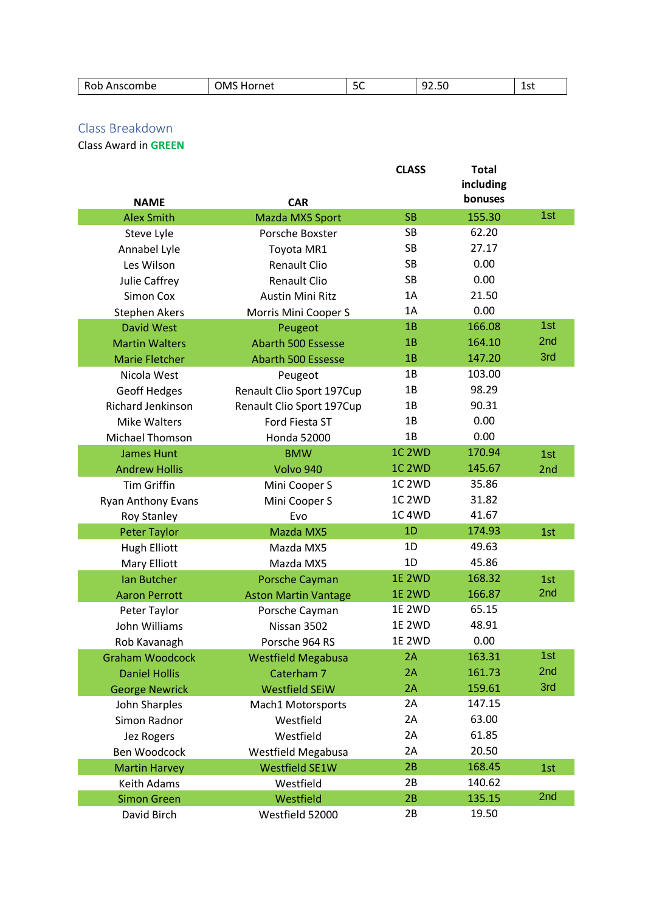| Rob<br>Anscombe | OMS<br>-iOF<br>met | $\sim$<br>-<br>っこ | $ -$<br>∼<br>92.JU | ا ہ 1<br>ᅩコし |
|-----------------|--------------------|-------------------|--------------------|--------------|

### <span id="page-2-0"></span>Class Breakdown

Class Award in **GREEN**

|                          |                             | <b>CLASS</b>       | <b>Total</b><br>including<br>bonuses |     |
|--------------------------|-----------------------------|--------------------|--------------------------------------|-----|
| <b>NAME</b>              | <b>CAR</b>                  |                    |                                      |     |
| <b>Alex Smith</b>        | Mazda MX5 Sport             | <b>SB</b>          | 155.30                               | 1st |
| Steve Lyle               | Porsche Boxster             | SB                 | 62.20                                |     |
| Annabel Lyle             | Toyota MR1                  | SB                 | 27.17                                |     |
| Les Wilson               | <b>Renault Clio</b>         | <b>SB</b>          | 0.00                                 |     |
| Julie Caffrey            | Renault Clio                | SB                 | 0.00                                 |     |
| Simon Cox                | <b>Austin Mini Ritz</b>     | 1A                 | 21.50                                |     |
| <b>Stephen Akers</b>     | Morris Mini Cooper S        | 1A                 | 0.00                                 |     |
| <b>David West</b>        | Peugeot                     | 1B                 | 166.08                               | 1st |
| <b>Martin Walters</b>    | <b>Abarth 500 Essesse</b>   | 1B                 | 164.10                               | 2nd |
| <b>Marie Fletcher</b>    | <b>Abarth 500 Essesse</b>   | 1B                 | 147.20                               | 3rd |
| Nicola West              | Peugeot                     | 1B                 | 103.00                               |     |
| <b>Geoff Hedges</b>      | Renault Clio Sport 197Cup   | 1B                 | 98.29                                |     |
| <b>Richard Jenkinson</b> | Renault Clio Sport 197Cup   | 1B                 | 90.31                                |     |
| <b>Mike Walters</b>      | Ford Fiesta ST              | 1B                 | 0.00                                 |     |
| Michael Thomson          | <b>Honda 52000</b>          | 1B                 | 0.00                                 |     |
| <b>James Hunt</b>        | <b>BMW</b>                  | <b>1C 2WD</b>      | 170.94                               | 1st |
| <b>Andrew Hollis</b>     | Volvo 940                   | 1C <sub>2</sub> WD | 145.67                               | 2nd |
| <b>Tim Griffin</b>       | Mini Cooper S               | 1C <sub>2</sub> WD | 35.86                                |     |
| Ryan Anthony Evans       | Mini Cooper S               | 1C <sub>2</sub> WD | 31.82                                |     |
| <b>Roy Stanley</b>       | Evo                         | <b>1C 4WD</b>      | 41.67                                |     |
| <b>Peter Taylor</b>      | Mazda MX5                   | 1D                 | 174.93                               | 1st |
| <b>Hugh Elliott</b>      | Mazda MX5                   | 1D                 | 49.63                                |     |
| Mary Elliott             | Mazda MX5                   | 1D                 | 45.86                                |     |
| <b>Ian Butcher</b>       | Porsche Cayman              | <b>1E 2WD</b>      | 168.32                               | 1st |
| <b>Aaron Perrott</b>     | <b>Aston Martin Vantage</b> | <b>1E 2WD</b>      | 166.87                               | 2nd |
| Peter Taylor             | Porsche Cayman              | <b>1E 2WD</b>      | 65.15                                |     |
| John Williams            | Nissan 3502                 | <b>1E 2WD</b>      | 48.91                                |     |
| Rob Kavanagh             | Porsche 964 RS              | <b>1E 2WD</b>      | 0.00                                 |     |
| <b>Graham Woodcock</b>   | <b>Westfield Megabusa</b>   | 2A                 | 163.31                               | 1st |
| <b>Daniel Hollis</b>     | Caterham 7                  | 2A                 | 161.73                               | 2nd |
| <b>George Newrick</b>    | <b>Westfield SEiW</b>       | 2A                 | 159.61                               | 3rd |
| John Sharples            | Mach1 Motorsports           | 2A                 | 147.15                               |     |
| Simon Radnor             | Westfield                   | 2A                 | 63.00                                |     |
| Jez Rogers               | Westfield                   | 2A                 | 61.85                                |     |
| Ben Woodcock             | <b>Westfield Megabusa</b>   | 2A                 | 20.50                                |     |
| <b>Martin Harvey</b>     | <b>Westfield SE1W</b>       | 2B                 | 168.45                               | 1st |
| Keith Adams              | Westfield                   | 2B                 | 140.62                               |     |
| <b>Simon Green</b>       | Westfield                   | 2B                 | 135.15                               | 2nd |
| David Birch              | Westfield 52000             | 2B                 | 19.50                                |     |